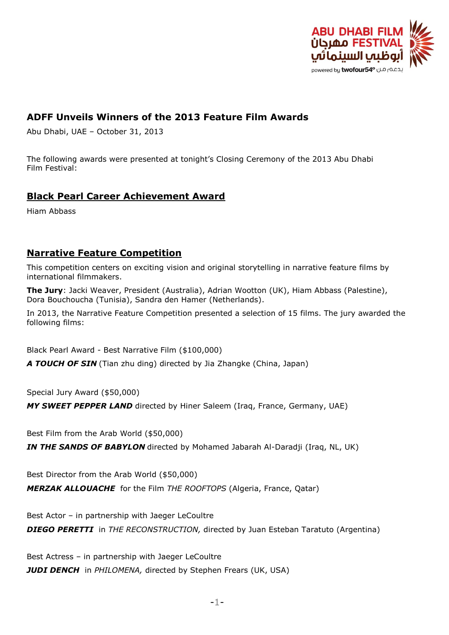

## **ADFF Unveils Winners of the 2013 Feature Film Awards**

Abu Dhabi, UAE – October 31, 2013

The following awards were presented at tonight's Closing Ceremony of the 2013 Abu Dhabi Film Festival:

### **Black Pearl Career Achievement Award**

Hiam Abbass

### **Narrative Feature Competition**

This competition centers on exciting vision and original storytelling in narrative feature films by international filmmakers.

**The Jury**: Jacki Weaver, President (Australia), Adrian Wootton (UK), Hiam Abbass (Palestine), Dora Bouchoucha (Tunisia), Sandra den Hamer (Netherlands).

In 2013, the Narrative Feature Competition presented a selection of 15 films. The jury awarded the following films:

Black Pearl Award - Best Narrative Film (\$100,000)

*A TOUCH OF SIN* (Tian zhu ding) directed by Jia Zhangke (China, Japan)

Special Jury Award (\$50,000)

*MY SWEET PEPPER LAND* directed by Hiner Saleem (Iraq, France, Germany, UAE)

Best Film from the Arab World (\$50,000)

*IN THE SANDS OF BABYLON* directed by Mohamed Jabarah Al-Daradji (Iraq, NL, UK)

Best Director from the Arab World (\$50,000) *MERZAK ALLOUACHE* for the Film *THE ROOFTOPS* (Algeria, France, Qatar)

Best Actor – in partnership with Jaeger LeCoultre *DIEGO PERETTI* in *THE RECONSTRUCTION,* directed by Juan Esteban Taratuto (Argentina)

Best Actress – in partnership with Jaeger LeCoultre *JUDI DENCH* in *PHILOMENA,* directed by Stephen Frears (UK, USA)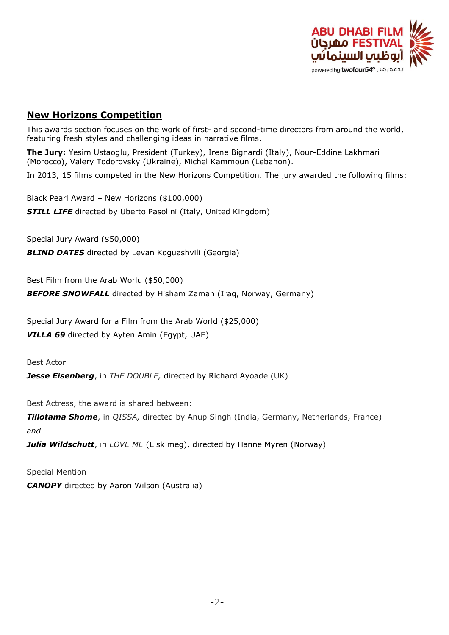

### **New Horizons Competition**

This awards section focuses on the work of first- and second-time directors from around the world, featuring fresh styles and challenging ideas in narrative films.

**The Jury:** Yesim Ustaoglu, President (Turkey), Irene Bignardi (Italy), Nour-Eddine Lakhmari (Morocco), Valery Todorovsky (Ukraine), Michel Kammoun (Lebanon).

In 2013, 15 films competed in the New Horizons Competition. The jury awarded the following films:

Black Pearl Award – New Horizons (\$100,000) **STILL LIFE** directed by Uberto Pasolini (Italy, United Kingdom)

Special Jury Award (\$50,000)

**BLIND DATES** directed by Levan Koguashvili (Georgia)

Best Film from the Arab World (\$50,000)

*BEFORE SNOWFALL* directed by Hisham Zaman (Iraq, Norway, Germany)

Special Jury Award for a Film from the Arab World (\$25,000) *VILLA 69* directed by Ayten Amin (Egypt, UAE)

Best Actor

**Jesse Eisenberg**, in *THE DOUBLE*, directed by Richard Ayoade (UK)

Best Actress, the award is shared between:

*Tillotama Shome*, in *QISSA,* directed by Anup Singh (India, Germany, Netherlands, France) *and*

*Julia Wildschutt*, in *LOVE ME* (Elsk meg), directed by Hanne Myren (Norway)

Special Mention *CANOPY* directed by Aaron Wilson (Australia)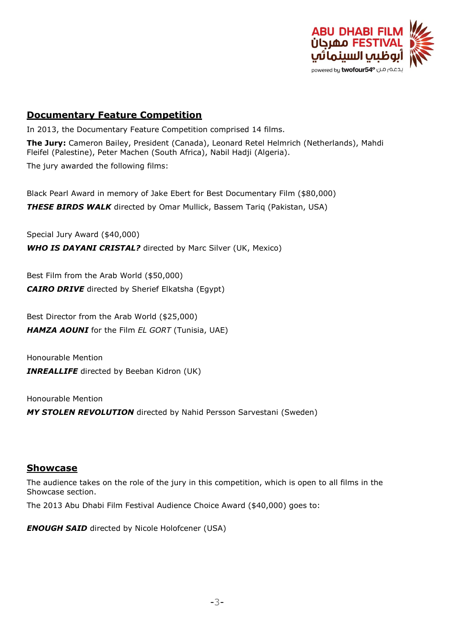

### **Documentary Feature Competition**

In 2013, the Documentary Feature Competition comprised 14 films.

**The Jury:** Cameron Bailey, President (Canada), Leonard Retel Helmrich (Netherlands), Mahdi Fleifel (Palestine), Peter Machen (South Africa), Nabil Hadji (Algeria).

The jury awarded the following films:

Black Pearl Award in memory of Jake Ebert for Best Documentary Film (\$80,000) *THESE BIRDS WALK* directed by Omar Mullick, Bassem Tariq (Pakistan, USA)

Special Jury Award (\$40,000)

*WHO IS DAYANI CRISTAL?* directed by Marc Silver (UK, Mexico)

Best Film from the Arab World (\$50,000) *CAIRO DRIVE* directed by Sherief Elkatsha (Egypt)

Best Director from the Arab World (\$25,000) *HAMZA AOUNI* for the Film *EL GORT* (Tunisia, UAE)

Honourable Mention *INREALLIFE* directed by Beeban Kidron (UK)

Honourable Mention

*MY STOLEN REVOLUTION* directed by Nahid Persson Sarvestani (Sweden)

#### **Showcase**

The audience takes on the role of the jury in this competition, which is open to all films in the Showcase section.

The 2013 Abu Dhabi Film Festival Audience Choice Award (\$40,000) goes to:

**ENOUGH SAID** directed by Nicole Holofcener (USA)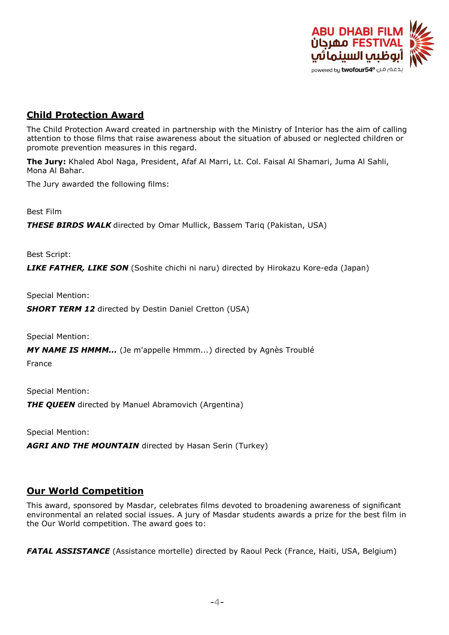

## **Child Protection Award**

The Child Protection Award created in partnership with the Ministry of Interior has the aim of calling attention to those films that raise awareness about the situation of abused or neglected children or promote prevention measures in this regard.

**The Jury:** Khaled Abol Naga, President, Afaf Al Marri, Lt. Col. Faisal Al Shamari, Juma Al Sahli, Mona Al Bahar.

The Jury awarded the following films:

Best Film

*THESE BIRDS WALK* directed by Omar Mullick, Bassem Tariq (Pakistan, USA)

Best Script:

*LIKE FATHER, LIKE SON* (Soshite chichi ni naru) directed by Hirokazu Kore-eda (Japan)

Special Mention:

**SHORT TERM 12** directed by Destin Daniel Cretton (USA)

Special Mention:

*MY NAME IS HMMM...* (Je m'appelle Hmmm...) directed by Agnès Troublé

France

Special Mention: **THE QUEEN** directed by Manuel Abramovich (Argentina)

Special Mention:

*AGRI AND THE MOUNTAIN* directed by Hasan Serin (Turkey)

### **Our World Competition**

This award, sponsored by Masdar, celebrates films devoted to broadening awareness of significant environmental an related social issues. A jury of Masdar students awards a prize for the best film in the Our World competition. The award goes to:

**FATAL ASSISTANCE** (Assistance mortelle) directed by Raoul Peck (France, Haiti, USA, Belgium)